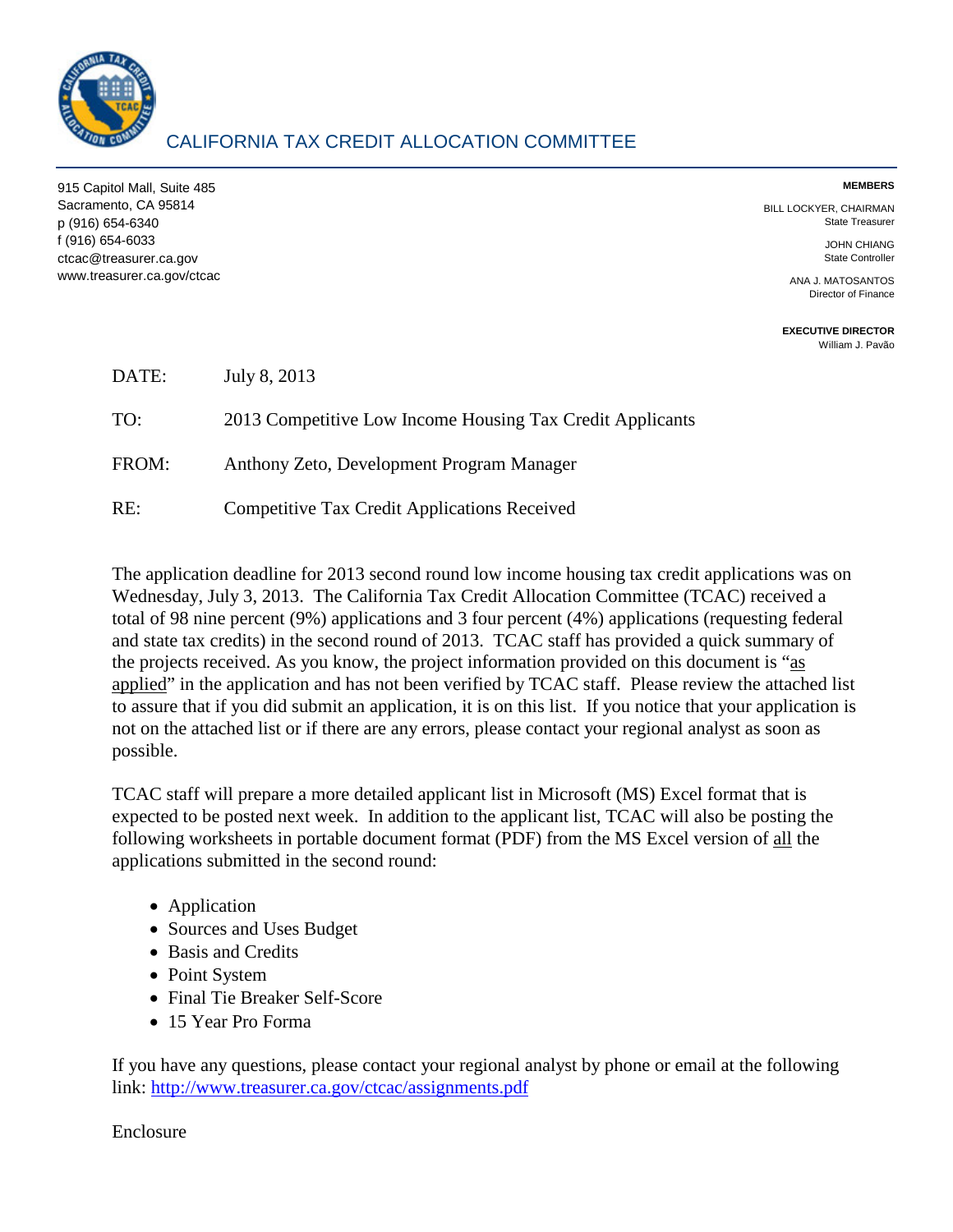

915 Capitol Mall, Suite 485 Sacramento, CA 95814 p (916) 654-6340 f (916) 654-6033 ctcac@treasurer.ca.gov www.treasurer.ca.gov/ctcac **MEMBERS** 

BILL LOCKYER, CHAIRMAN State Treasurer

> JOHN CHIANG State Controller

ANA J. MATOSANTOS Director of Finance

**EXECUTIVE DIRECTOR**  [William J. Pavão](mailto:wpavao@treasurer.ca.gov)

| DATE: | July 8, 2013                                              |
|-------|-----------------------------------------------------------|
| TO:   | 2013 Competitive Low Income Housing Tax Credit Applicants |
| FROM: | Anthony Zeto, Development Program Manager                 |
| RE:   | <b>Competitive Tax Credit Applications Received</b>       |

The application deadline for 2013 second round low income housing tax credit applications was on Wednesday, July 3, 2013. The California Tax Credit Allocation Committee (TCAC) received a total of 98 nine percent (9%) applications and 3 four percent (4%) applications (requesting federal and state tax credits) in the second round of 2013. TCAC staff has provided a quick summary of the projects received. As you know, the project information provided on this document is "as applied" in the application and has not been verified by TCAC staff. Please review the attached list to assure that if you did submit an application, it is on this list. If you notice that your application is not on the attached list or if there are any errors, please contact your regional analyst as soon as possible.

TCAC staff will prepare a more detailed applicant list in Microsoft (MS) Excel format that is expected to be posted next week. In addition to the applicant list, TCAC will also be posting the following worksheets in portable document format (PDF) from the MS Excel version of all the applications submitted in the second round:

- Application
- Sources and Uses Budget
- Basis and Credits
- Point System
- Final Tie Breaker Self-Score
- 15 Year Pro Forma

If you have any questions, please contact your regional analyst by phone or email at the following link:<http://www.treasurer.ca.gov/ctcac/assignments.pdf>

Enclosure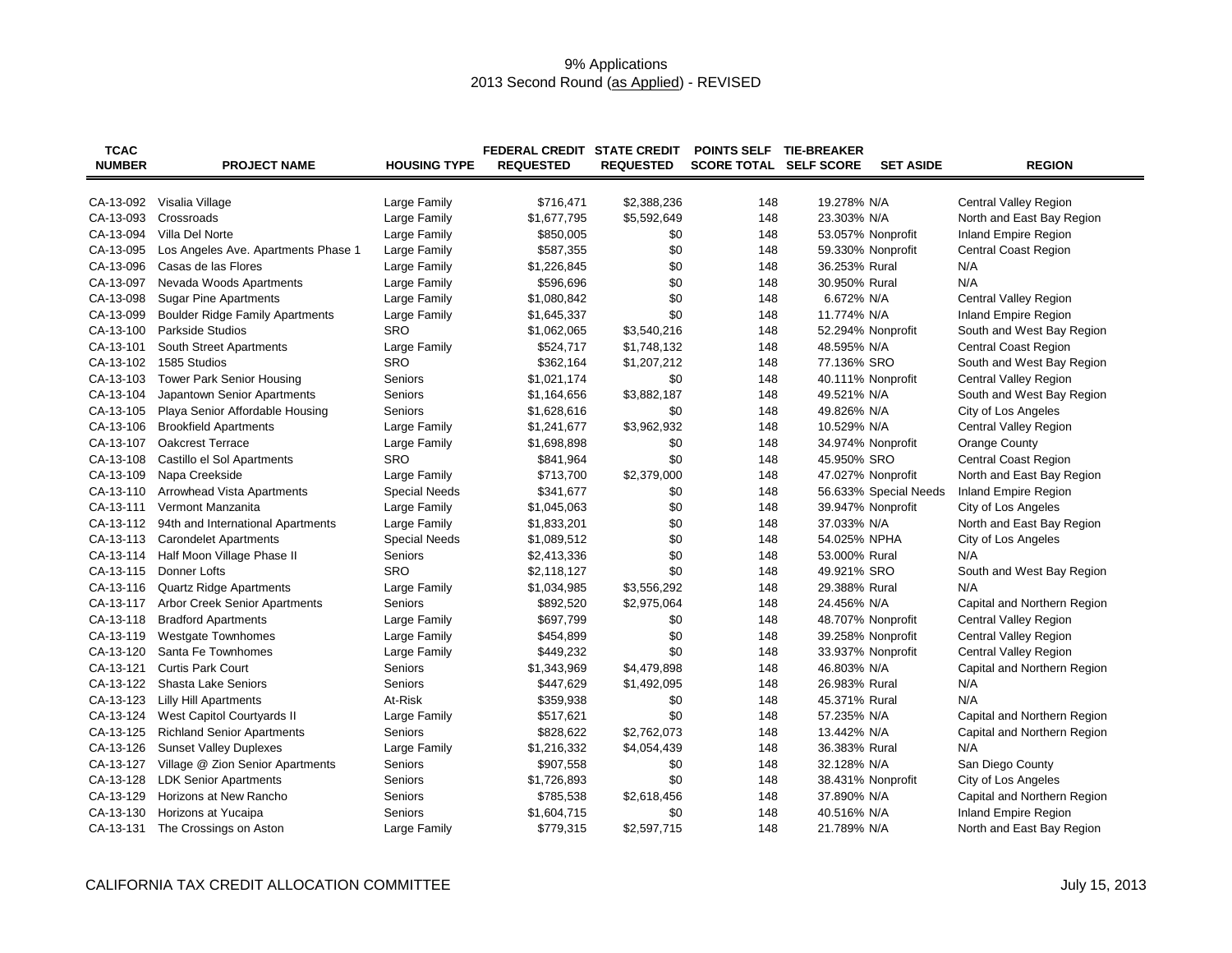## 9% Applications 2013 Second Round (as Applied) - REVISED

| <b>TCAC</b><br><b>NUMBER</b> | <b>PROJECT NAME</b>                    | <b>HOUSING TYPE</b>  | <b>FEDERAL CREDIT STATE CREDIT</b><br><b>REQUESTED</b> | <b>REQUESTED</b> | POINTS SELF TIE-BREAKER<br><b>SCORE TOTAL SELF SCORE</b> |               | <b>SET ASIDE</b>      | <b>REGION</b>                |
|------------------------------|----------------------------------------|----------------------|--------------------------------------------------------|------------------|----------------------------------------------------------|---------------|-----------------------|------------------------------|
|                              |                                        |                      |                                                        |                  |                                                          |               |                       |                              |
| CA-13-092                    | Visalia Village                        | Large Family         | \$716,471                                              | \$2,388,236      | 148                                                      | 19.278% N/A   |                       | <b>Central Valley Region</b> |
| CA-13-093                    | Crossroads                             | Large Family         | \$1,677,795                                            | \$5,592,649      | 148                                                      | 23.303% N/A   |                       | North and East Bay Region    |
| CA-13-094                    | Villa Del Norte                        | Large Family         | \$850,005                                              | \$0              | 148                                                      |               | 53.057% Nonprofit     | <b>Inland Empire Region</b>  |
| CA-13-095                    | Los Angeles Ave. Apartments Phase 1    | Large Family         | \$587,355                                              | \$0              | 148                                                      |               | 59.330% Nonprofit     | <b>Central Coast Region</b>  |
| CA-13-096                    | Casas de las Flores                    | Large Family         | \$1,226,845                                            | \$0              | 148                                                      | 36.253% Rural |                       | N/A                          |
| CA-13-097                    | Nevada Woods Apartments                | Large Family         | \$596,696                                              | \$0              | 148                                                      | 30.950% Rural |                       | N/A                          |
| CA-13-098                    | <b>Sugar Pine Apartments</b>           | Large Family         | \$1,080,842                                            | \$0              | 148                                                      | 6.672% N/A    |                       | Central Valley Region        |
| CA-13-099                    | <b>Boulder Ridge Family Apartments</b> | Large Family         | \$1,645,337                                            | \$0              | 148                                                      | 11.774% N/A   |                       | Inland Empire Region         |
| CA-13-100                    | Parkside Studios                       | <b>SRO</b>           | \$1,062,065                                            | \$3,540,216      | 148                                                      |               | 52.294% Nonprofit     | South and West Bay Region    |
| CA-13-101                    | South Street Apartments                | Large Family         | \$524,717                                              | \$1,748,132      | 148                                                      | 48.595% N/A   |                       | <b>Central Coast Region</b>  |
| CA-13-102                    | 1585 Studios                           | <b>SRO</b>           | \$362,164                                              | \$1,207,212      | 148                                                      | 77.136% SRO   |                       | South and West Bay Region    |
| CA-13-103                    | <b>Tower Park Senior Housing</b>       | Seniors              | \$1,021,174                                            | \$0              | 148                                                      |               | 40.111% Nonprofit     | <b>Central Valley Region</b> |
| CA-13-104                    | Japantown Senior Apartments            | Seniors              | \$1,164,656                                            | \$3,882,187      | 148                                                      | 49.521% N/A   |                       | South and West Bay Region    |
| CA-13-105                    | Playa Senior Affordable Housing        | Seniors              | \$1,628,616                                            | \$0              | 148                                                      | 49.826% N/A   |                       | City of Los Angeles          |
| CA-13-106                    | <b>Brookfield Apartments</b>           | Large Family         | \$1,241,677                                            | \$3,962,932      | 148                                                      | 10.529% N/A   |                       | Central Valley Region        |
| CA-13-107                    | <b>Oakcrest Terrace</b>                | Large Family         | \$1,698,898                                            | \$0              | 148                                                      |               | 34.974% Nonprofit     | <b>Orange County</b>         |
| CA-13-108                    | Castillo el Sol Apartments             | <b>SRO</b>           | \$841,964                                              | \$0              | 148                                                      | 45.950% SRO   |                       | Central Coast Region         |
| CA-13-109                    | Napa Creekside                         | Large Family         | \$713,700                                              | \$2,379,000      | 148                                                      |               | 47.027% Nonprofit     | North and East Bay Region    |
| CA-13-110                    | Arrowhead Vista Apartments             | <b>Special Needs</b> | \$341,677                                              | \$0              | 148                                                      |               | 56.633% Special Needs | <b>Inland Empire Region</b>  |
| CA-13-111                    | Vermont Manzanita                      | Large Family         | \$1,045,063                                            | \$0              | 148                                                      |               | 39.947% Nonprofit     | City of Los Angeles          |
| CA-13-112                    | 94th and International Apartments      | Large Family         | \$1,833,201                                            | \$0              | 148                                                      | 37.033% N/A   |                       | North and East Bay Region    |
| CA-13-113                    | <b>Carondelet Apartments</b>           | <b>Special Needs</b> | \$1,089,512                                            | \$0              | 148                                                      | 54.025% NPHA  |                       | City of Los Angeles          |
| CA-13-114                    | Half Moon Village Phase II             | Seniors              | \$2,413,336                                            | \$0              | 148                                                      | 53.000% Rural |                       | N/A                          |
| CA-13-115                    | Donner Lofts                           | SRO                  | \$2,118,127                                            | \$0              | 148                                                      | 49.921% SRO   |                       | South and West Bay Region    |
| CA-13-116                    | Quartz Ridge Apartments                | Large Family         | \$1,034,985                                            | \$3,556,292      | 148                                                      | 29.388% Rural |                       | N/A                          |
| CA-13-117                    | Arbor Creek Senior Apartments          | Seniors              | \$892,520                                              | \$2,975,064      | 148                                                      | 24.456% N/A   |                       | Capital and Northern Region  |
| CA-13-118                    | <b>Bradford Apartments</b>             | Large Family         | \$697,799                                              | \$0              | 148                                                      |               | 48.707% Nonprofit     | Central Valley Region        |
| CA-13-119                    | <b>Westgate Townhomes</b>              | Large Family         | \$454,899                                              | \$0              | 148                                                      |               | 39.258% Nonprofit     | Central Valley Region        |
| CA-13-120                    | Santa Fe Townhomes                     | Large Family         | \$449,232                                              | \$0              | 148                                                      |               | 33.937% Nonprofit     | <b>Central Valley Region</b> |
| CA-13-121                    | <b>Curtis Park Court</b>               | Seniors              | \$1,343,969                                            | \$4,479,898      | 148                                                      | 46.803% N/A   |                       | Capital and Northern Region  |
| CA-13-122                    | <b>Shasta Lake Seniors</b>             | Seniors              | \$447,629                                              | \$1,492,095      | 148                                                      | 26.983% Rural |                       | N/A                          |
| CA-13-123                    | <b>Lilly Hill Apartments</b>           | At-Risk              | \$359,938                                              | \$0              | 148                                                      | 45.371% Rural |                       | N/A                          |
| CA-13-124                    | West Capitol Courtyards II             | Large Family         | \$517,621                                              | \$0              | 148                                                      | 57.235% N/A   |                       | Capital and Northern Region  |
| CA-13-125                    | <b>Richland Senior Apartments</b>      | Seniors              | \$828,622                                              | \$2,762,073      | 148                                                      | 13.442% N/A   |                       | Capital and Northern Region  |
| CA-13-126                    | <b>Sunset Valley Duplexes</b>          | Large Family         | \$1,216,332                                            | \$4,054,439      | 148                                                      | 36.383% Rural |                       | N/A                          |
| CA-13-127                    | Village @ Zion Senior Apartments       | Seniors              | \$907,558                                              | \$0              | 148                                                      | 32.128% N/A   |                       | San Diego County             |
| CA-13-128                    | <b>LDK Senior Apartments</b>           | Seniors              | \$1,726,893                                            | \$0              | 148                                                      |               | 38.431% Nonprofit     | City of Los Angeles          |
| CA-13-129                    | Horizons at New Rancho                 | Seniors              | \$785,538                                              | \$2,618,456      | 148                                                      | 37.890% N/A   |                       | Capital and Northern Region  |
| CA-13-130                    | Horizons at Yucaipa                    | Seniors              | \$1,604,715                                            | \$0              | 148                                                      | 40.516% N/A   |                       | Inland Empire Region         |
| CA-13-131                    | The Crossings on Aston                 | Large Family         | \$779,315                                              | \$2,597,715      | 148                                                      | 21.789% N/A   |                       | North and East Bay Region    |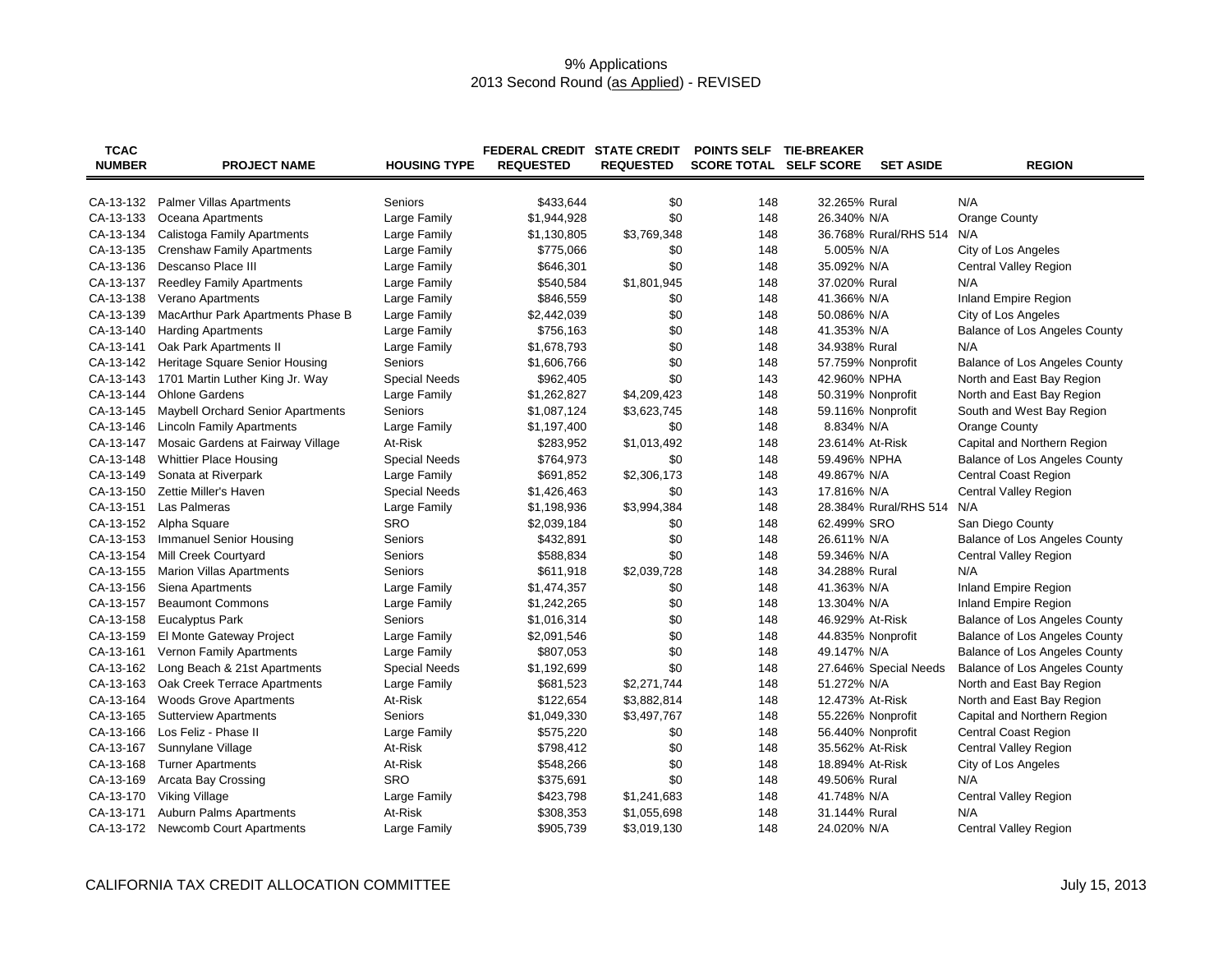## 9% Applications 2013 Second Round (as Applied) - REVISED

| <b>TCAC</b><br><b>NUMBER</b> | <b>PROJECT NAME</b>                      | <b>HOUSING TYPE</b>  | <b>FEDERAL CREDIT STATE CREDIT</b><br><b>REQUESTED</b> | <b>REQUESTED</b> | POINTS SELF TIE-BREAKER<br><b>SCORE TOTAL SELF SCORE</b> |                 | <b>SET ASIDE</b>      | <b>REGION</b>                        |
|------------------------------|------------------------------------------|----------------------|--------------------------------------------------------|------------------|----------------------------------------------------------|-----------------|-----------------------|--------------------------------------|
|                              |                                          |                      |                                                        |                  |                                                          |                 |                       |                                      |
| CA-13-132                    | <b>Palmer Villas Apartments</b>          | Seniors              | \$433,644                                              | \$0              | 148                                                      | 32.265% Rural   |                       | N/A                                  |
| CA-13-133                    | Oceana Apartments                        | Large Family         | \$1,944,928                                            | \$0              | 148                                                      | 26.340% N/A     |                       | <b>Orange County</b>                 |
| CA-13-134                    | Calistoga Family Apartments              | Large Family         | \$1,130,805                                            | \$3,769,348      | 148                                                      |                 | 36.768% Rural/RHS 514 | N/A                                  |
| CA-13-135                    | <b>Crenshaw Family Apartments</b>        | Large Family         | \$775,066                                              | \$0              | 148                                                      | 5.005% N/A      |                       | City of Los Angeles                  |
| CA-13-136                    | Descanso Place III                       | Large Family         | \$646,301                                              | \$0              | 148                                                      | 35.092% N/A     |                       | Central Valley Region                |
| CA-13-137                    | <b>Reedley Family Apartments</b>         | Large Family         | \$540,584                                              | \$1,801,945      | 148                                                      | 37.020% Rural   |                       | N/A                                  |
| CA-13-138                    | Verano Apartments                        | Large Family         | \$846,559                                              | \$0              | 148                                                      | 41.366% N/A     |                       | <b>Inland Empire Region</b>          |
| CA-13-139                    | MacArthur Park Apartments Phase B        | Large Family         | \$2,442,039                                            | \$0              | 148                                                      | 50.086% N/A     |                       | City of Los Angeles                  |
| CA-13-140                    | <b>Harding Apartments</b>                | Large Family         | \$756,163                                              | \$0              | 148                                                      | 41.353% N/A     |                       | Balance of Los Angeles County        |
| CA-13-141                    | Oak Park Apartments II                   | Large Family         | \$1,678,793                                            | \$0              | 148                                                      | 34.938% Rural   |                       | N/A                                  |
| CA-13-142                    | Heritage Square Senior Housing           | Seniors              | \$1,606,766                                            | \$0              | 148                                                      |                 | 57.759% Nonprofit     | Balance of Los Angeles County        |
| CA-13-143                    | 1701 Martin Luther King Jr. Way          | <b>Special Needs</b> | \$962,405                                              | \$0              | 143                                                      | 42.960% NPHA    |                       | North and East Bay Region            |
| CA-13-144                    | <b>Ohlone Gardens</b>                    | Large Family         | \$1,262,827                                            | \$4,209,423      | 148                                                      |                 | 50.319% Nonprofit     | North and East Bay Region            |
| CA-13-145                    | <b>Maybell Orchard Senior Apartments</b> | Seniors              | \$1,087,124                                            | \$3,623,745      | 148                                                      |                 | 59.116% Nonprofit     | South and West Bay Region            |
| CA-13-146                    | <b>Lincoln Family Apartments</b>         | Large Family         | \$1,197,400                                            | \$0              | 148                                                      | 8.834% N/A      |                       | <b>Orange County</b>                 |
| CA-13-147                    | Mosaic Gardens at Fairway Village        | At-Risk              | \$283,952                                              | \$1,013,492      | 148                                                      | 23.614% At-Risk |                       | Capital and Northern Region          |
| CA-13-148                    | <b>Whittier Place Housing</b>            | <b>Special Needs</b> | \$764,973                                              | \$0              | 148                                                      | 59.496% NPHA    |                       | Balance of Los Angeles County        |
| CA-13-149                    | Sonata at Riverpark                      | Large Family         | \$691,852                                              | \$2,306,173      | 148                                                      | 49.867% N/A     |                       | <b>Central Coast Region</b>          |
| CA-13-150                    | Zettie Miller's Haven                    | <b>Special Needs</b> | \$1,426,463                                            | \$0              | 143                                                      | 17.816% N/A     |                       | <b>Central Valley Region</b>         |
| CA-13-151                    | Las Palmeras                             | Large Family         | \$1,198,936                                            | \$3,994,384      | 148                                                      |                 | 28.384% Rural/RHS 514 | N/A                                  |
| CA-13-152                    | Alpha Square                             | SRO                  | \$2,039,184                                            | \$0              | 148                                                      | 62.499% SRO     |                       | San Diego County                     |
| CA-13-153                    | <b>Immanuel Senior Housing</b>           | Seniors              | \$432,891                                              | \$0              | 148                                                      | 26.611% N/A     |                       | Balance of Los Angeles County        |
| CA-13-154                    | Mill Creek Courtyard                     | Seniors              | \$588,834                                              | \$0              | 148                                                      | 59.346% N/A     |                       | Central Valley Region                |
| CA-13-155                    | <b>Marion Villas Apartments</b>          | Seniors              | \$611,918                                              | \$2,039,728      | 148                                                      | 34.288% Rural   |                       | N/A                                  |
| CA-13-156                    | Siena Apartments                         | Large Family         | \$1,474,357                                            | \$0              | 148                                                      | 41.363% N/A     |                       | Inland Empire Region                 |
| CA-13-157                    | <b>Beaumont Commons</b>                  | Large Family         | \$1,242,265                                            | \$0              | 148                                                      | 13.304% N/A     |                       | <b>Inland Empire Region</b>          |
| CA-13-158                    | <b>Eucalyptus Park</b>                   | Seniors              | \$1,016,314                                            | \$0              | 148                                                      | 46.929% At-Risk |                       | Balance of Los Angeles County        |
| CA-13-159                    | El Monte Gateway Project                 | Large Family         | \$2,091,546                                            | \$0              | 148                                                      |                 | 44.835% Nonprofit     | Balance of Los Angeles County        |
| CA-13-161                    | Vernon Family Apartments                 | Large Family         | \$807,053                                              | \$0              | 148                                                      | 49.147% N/A     |                       | Balance of Los Angeles County        |
| CA-13-162                    | Long Beach & 21st Apartments             | <b>Special Needs</b> | \$1,192,699                                            | \$0              | 148                                                      |                 | 27.646% Special Needs | <b>Balance of Los Angeles County</b> |
| CA-13-163                    | Oak Creek Terrace Apartments             | Large Family         | \$681,523                                              | \$2,271,744      | 148                                                      | 51.272% N/A     |                       | North and East Bay Region            |
| CA-13-164                    | <b>Woods Grove Apartments</b>            | At-Risk              | \$122,654                                              | \$3,882,814      | 148                                                      | 12.473% At-Risk |                       | North and East Bay Region            |
| CA-13-165                    | <b>Sutterview Apartments</b>             | Seniors              | \$1,049,330                                            | \$3,497,767      | 148                                                      |                 | 55.226% Nonprofit     | Capital and Northern Region          |
| CA-13-166                    | Los Feliz - Phase II                     | Large Family         | \$575,220                                              | \$0              | 148                                                      |                 | 56.440% Nonprofit     | <b>Central Coast Region</b>          |
| CA-13-167                    | Sunnylane Village                        | At-Risk              | \$798,412                                              | \$0              | 148                                                      | 35.562% At-Risk |                       | Central Valley Region                |
| CA-13-168                    | <b>Turner Apartments</b>                 | At-Risk              | \$548,266                                              | \$0              | 148                                                      | 18.894% At-Risk |                       | City of Los Angeles                  |
| CA-13-169                    | Arcata Bay Crossing                      | <b>SRO</b>           | \$375,691                                              | \$0              | 148                                                      | 49.506% Rural   |                       | N/A                                  |
| CA-13-170                    | Viking Village                           | Large Family         | \$423,798                                              | \$1,241,683      | 148                                                      | 41.748% N/A     |                       | Central Valley Region                |
| CA-13-171                    | Auburn Palms Apartments                  | At-Risk              | \$308,353                                              | \$1,055,698      | 148                                                      | 31.144% Rural   |                       | N/A                                  |
| CA-13-172                    | Newcomb Court Apartments                 | Large Family         | \$905,739                                              | \$3,019,130      | 148                                                      | 24.020% N/A     |                       | Central Valley Region                |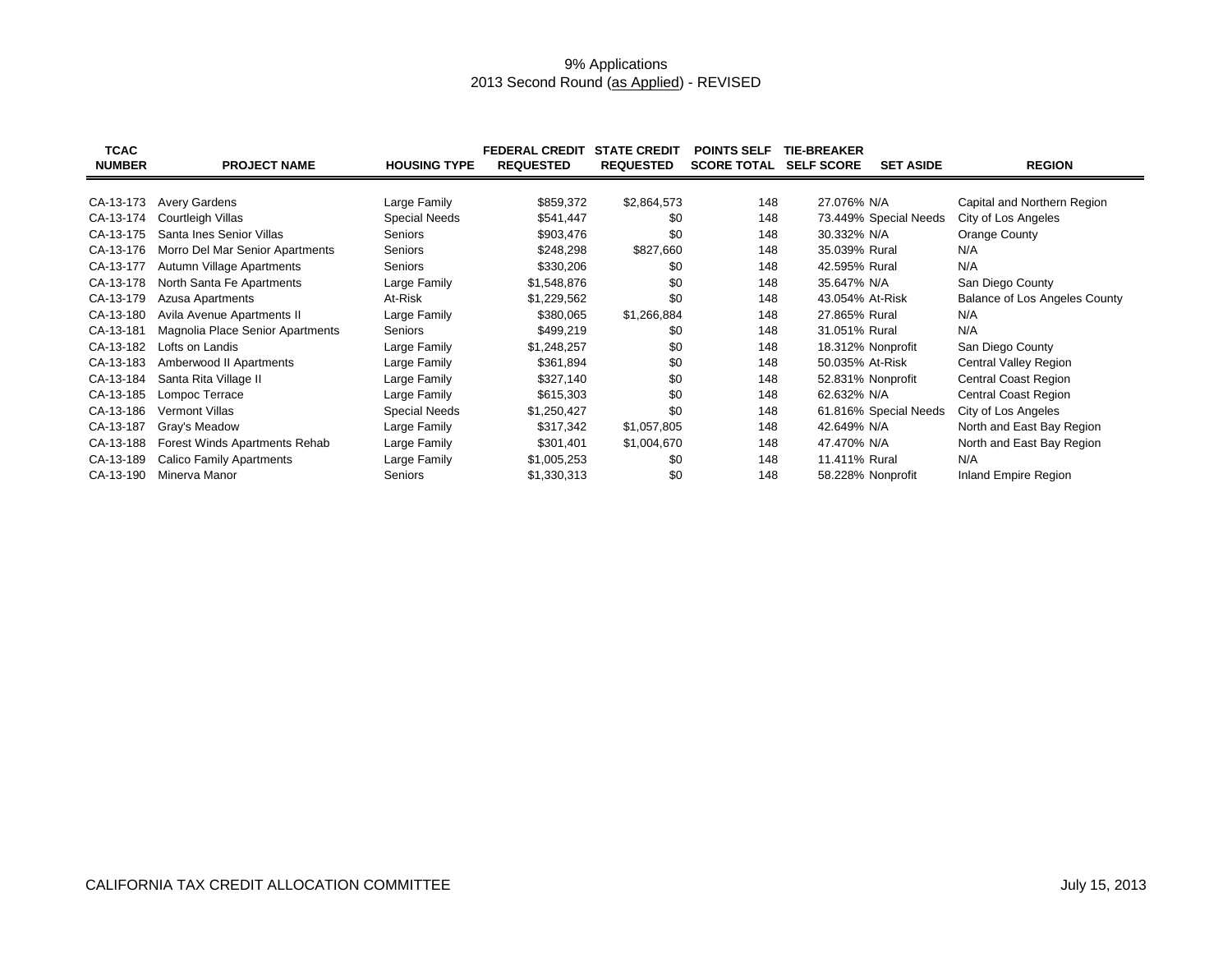## 9% Applications 2013 Second Round (<u>as Applied</u>) - REVISED

| <b>TCAC</b><br><b>NUMBER</b> | <b>PROJECT NAME</b>              | <b>HOUSING TYPE</b>  | <b>FEDERAL CREDIT</b><br><b>REQUESTED</b> | <b>STATE CREDIT</b><br><b>REQUESTED</b> | <b>POINTS SELF</b><br><b>SCORE TOTAL</b> | <b>TIE-BREAKER</b><br><b>SELF SCORE</b> | <b>SET ASIDE</b>      | <b>REGION</b>                 |
|------------------------------|----------------------------------|----------------------|-------------------------------------------|-----------------------------------------|------------------------------------------|-----------------------------------------|-----------------------|-------------------------------|
|                              |                                  |                      |                                           |                                         |                                          |                                         |                       |                               |
| CA-13-173                    | <b>Avery Gardens</b>             | Large Family         | \$859,372                                 | \$2,864,573                             | 148                                      | 27.076% N/A                             |                       | Capital and Northern Region   |
| CA-13-174                    | Courtleigh Villas                | <b>Special Needs</b> | \$541,447                                 | \$0                                     | 148                                      |                                         | 73.449% Special Needs | City of Los Angeles           |
| CA-13-175                    | Santa Ines Senior Villas         | Seniors              | \$903,476                                 | \$0                                     | 148                                      | 30.332% N/A                             |                       | Orange County                 |
| CA-13-176                    | Morro Del Mar Senior Apartments  | Seniors              | \$248,298                                 | \$827,660                               | 148                                      | 35.039% Rural                           |                       | N/A                           |
| CA-13-177                    | Autumn Village Apartments        | Seniors              | \$330,206                                 | \$0                                     | 148                                      | 42.595% Rural                           |                       | N/A                           |
| CA-13-178                    | North Santa Fe Apartments        | Large Family         | \$1,548,876                               | \$0                                     | 148                                      | 35.647% N/A                             |                       | San Diego County              |
| CA-13-179                    | <b>Azusa Apartments</b>          | At-Risk              | \$1,229,562                               | \$0                                     | 148                                      | 43.054% At-Risk                         |                       | Balance of Los Angeles County |
| CA-13-180                    | Avila Avenue Apartments II       | Large Family         | \$380,065                                 | \$1,266,884                             | 148                                      | 27.865% Rural                           |                       | N/A                           |
| CA-13-181                    | Magnolia Place Senior Apartments | Seniors              | \$499,219                                 | \$0                                     | 148                                      | 31.051% Rural                           |                       | N/A                           |
| CA-13-182                    | Lofts on Landis                  | Large Family         | \$1,248,257                               | \$0                                     | 148                                      | 18.312% Nonprofit                       |                       | San Diego County              |
| CA-13-183                    | Amberwood II Apartments          | Large Family         | \$361,894                                 | \$0                                     | 148                                      | 50.035% At-Risk                         |                       | Central Valley Region         |
| CA-13-184                    | Santa Rita Village II            | Large Family         | \$327,140                                 | \$0                                     | 148                                      | 52.831% Nonprofit                       |                       | <b>Central Coast Region</b>   |
| CA-13-185                    | Lompoc Terrace                   | Large Family         | \$615,303                                 | \$0                                     | 148                                      | 62.632% N/A                             |                       | Central Coast Region          |
| CA-13-186                    | <b>Vermont Villas</b>            | <b>Special Needs</b> | \$1,250,427                               | \$0                                     | 148                                      |                                         | 61.816% Special Needs | City of Los Angeles           |
| CA-13-187                    | Gray's Meadow                    | Large Family         | \$317,342                                 | \$1,057,805                             | 148                                      | 42.649% N/A                             |                       | North and East Bay Region     |
| CA-13-188                    | Forest Winds Apartments Rehab    | Large Family         | \$301,401                                 | \$1,004,670                             | 148                                      | 47.470% N/A                             |                       | North and East Bay Region     |
| CA-13-189                    | <b>Calico Family Apartments</b>  | Large Family         | \$1,005,253                               | \$0                                     | 148                                      | 11.411% Rural                           |                       | N/A                           |
| CA-13-190                    | Minerva Manor                    | Seniors              | \$1,330,313                               | \$0                                     | 148                                      | 58.228% Nonprofit                       |                       | Inland Empire Region          |